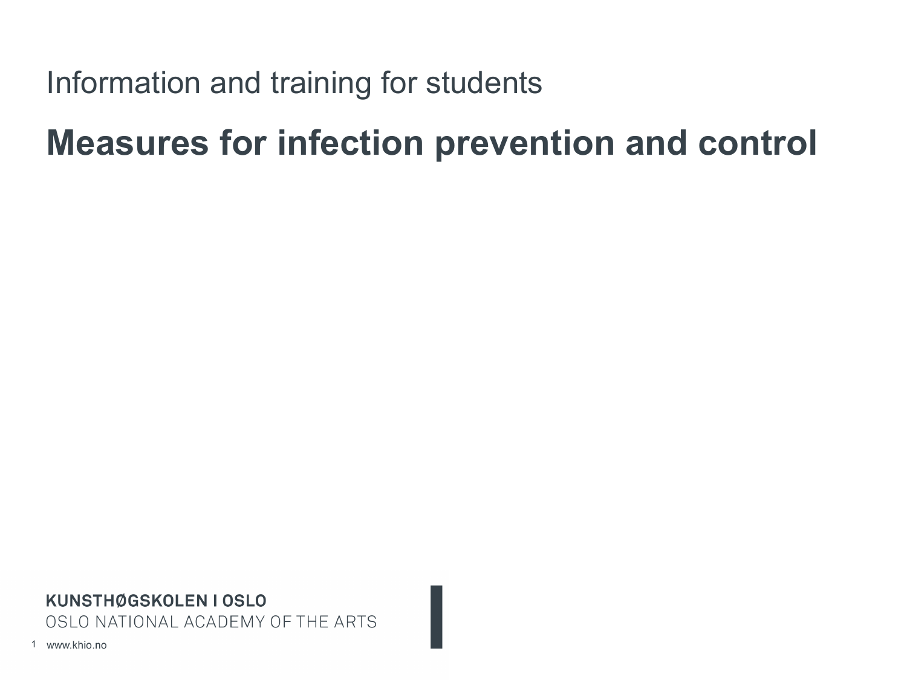# Information and training for students

# **Measures for infection prevention and control**

KUNSTHØGSKOLEN I OSLO OSLO NATIONAL ACADEMY OF THE ARTS

1 www.khio.no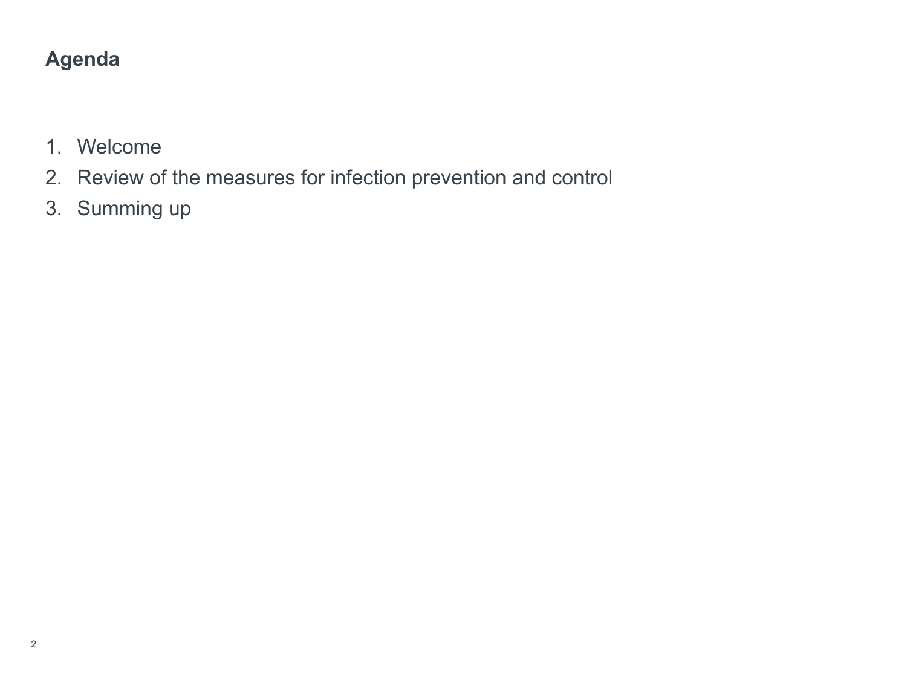# **Agenda**

- 1. Welcome
- 2. Review of the measures for infection prevention and control
- 3. Summing up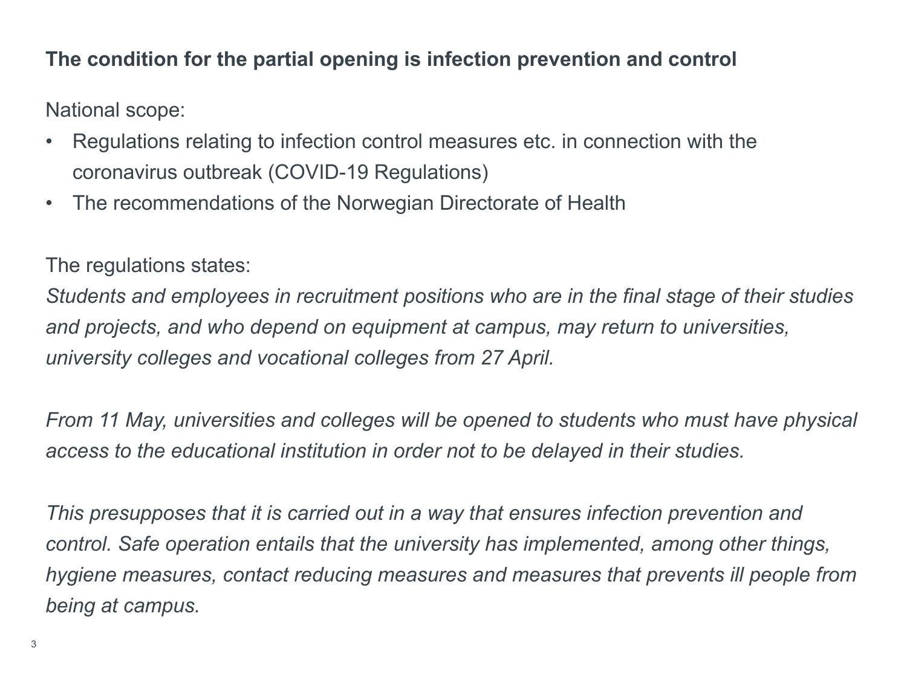#### **The condition for the partial opening is infection prevention and control**

National scope:

- Regulations relating to infection control measures etc. in connection with the coronavirus outbreak (COVID-19 Regulations)
- The recommendations of the Norwegian Directorate of Health

The regulations states:

*Students and employees in recruitment positions who are in the final stage of their studies and projects, and who depend on equipment at campus, may return to universities, university colleges and vocational colleges from 27 April.* 

*From 11 May, universities and colleges will be opened to students who must have physical access to the educational institution in order not to be delayed in their studies.*

*This presupposes that it is carried out in a way that ensures infection prevention and control. Safe operation entails that the university has implemented, among other things, hygiene measures, contact reducing measures and measures that prevents ill people from being at campus.*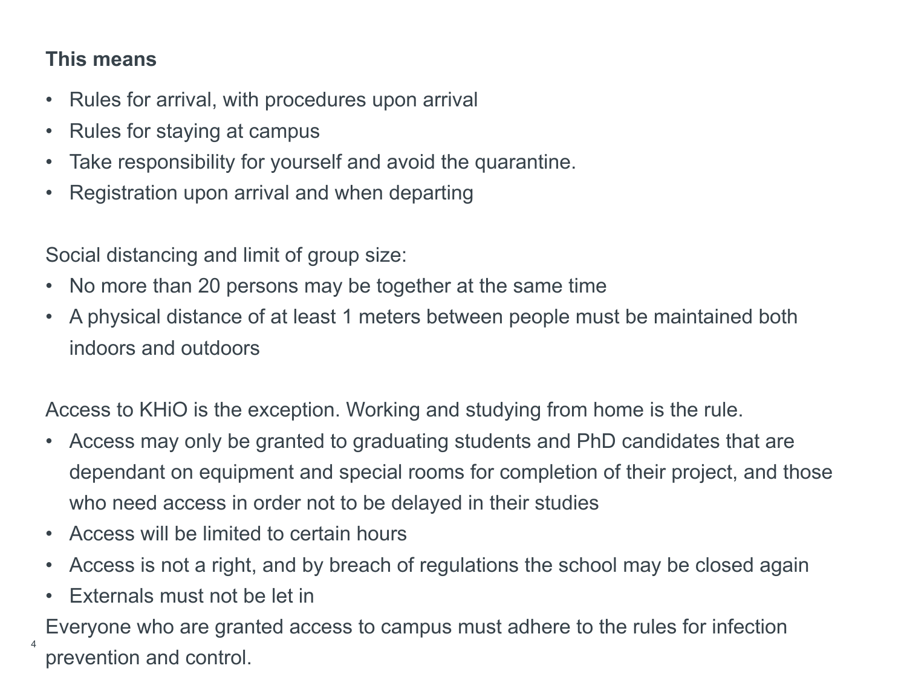#### **This means**

- Rules for arrival, with procedures upon arrival
- Rules for staying at campus
- Take responsibility for yourself and avoid the quarantine.
- Registration upon arrival and when departing

Social distancing and limit of group size:

- No more than 20 persons may be together at the same time
- A physical distance of at least 1 meters between people must be maintained both indoors and outdoors

Access to KHiO is the exception. Working and studying from home is the rule.

- Access may only be granted to graduating students and PhD candidates that are dependant on equipment and special rooms for completion of their project, and those who need access in order not to be delayed in their studies
- Access will be limited to certain hours
- Access is not a right, and by breach of regulations the school may be closed again
- Externals must not be let in

Everyone who are granted access to campus must adhere to the rules for infection prevention and control. <sup>4</sup>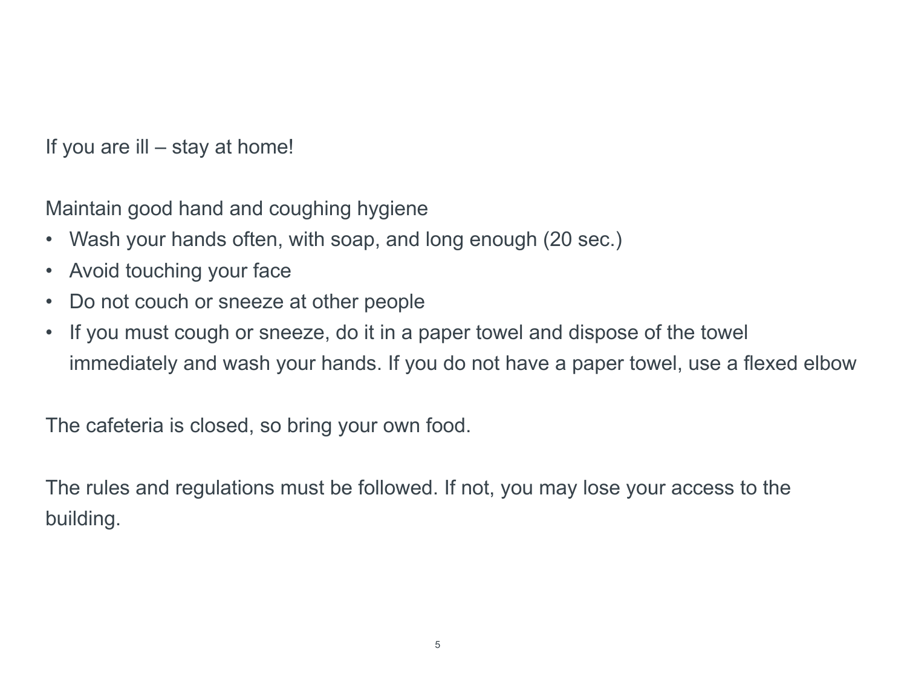If you are ill – stay at home!

Maintain good hand and coughing hygiene

- Wash your hands often, with soap, and long enough (20 sec.)
- Avoid touching your face
- Do not couch or sneeze at other people
- If you must cough or sneeze, do it in a paper towel and dispose of the towel immediately and wash your hands. If you do not have a paper towel, use a flexed elbow

The cafeteria is closed, so bring your own food.

The rules and regulations must be followed. If not, you may lose your access to the building.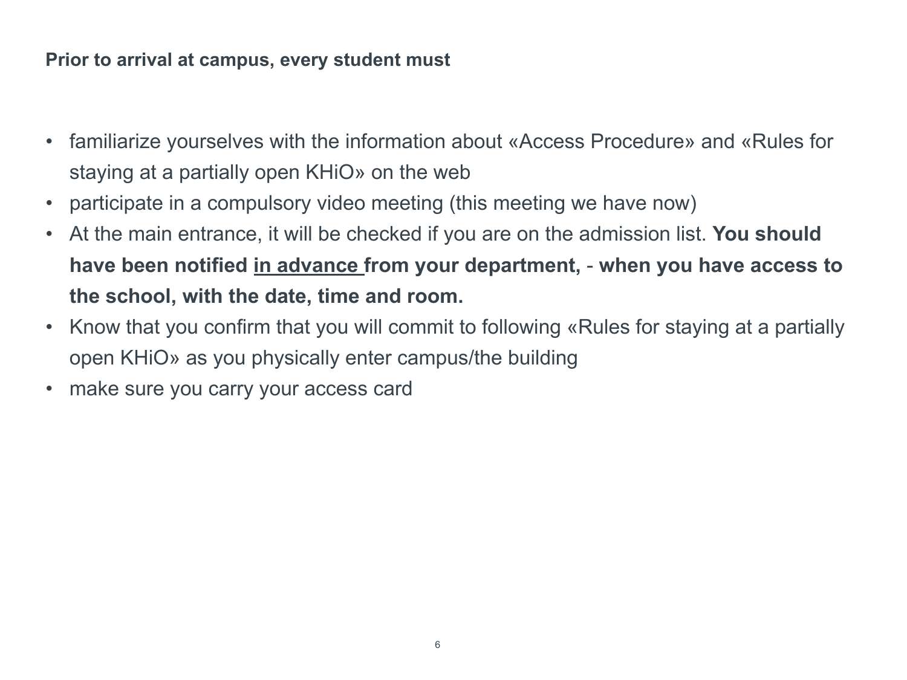#### **Prior to arrival at campus, every student must**

- familiarize yourselves with the information about «Access Procedure» and «Rules for staying at a partially open KHiO» on the web
- participate in a compulsory video meeting (this meeting we have now)
- At the main entrance, it will be checked if you are on the admission list. **You should have been notified in advance from your department,** - **when you have access to the school, with the date, time and room.**
- Know that you confirm that you will commit to following «Rules for staying at a partially open KHiO» as you physically enter campus/the building
- make sure you carry your access card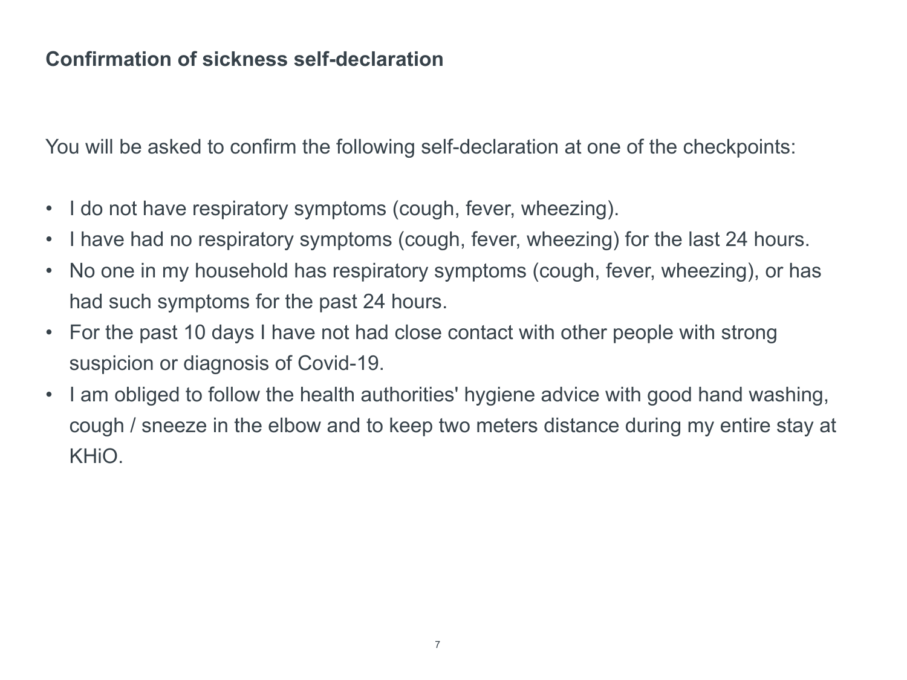#### **Confirmation of sickness self-declaration**

You will be asked to confirm the following self-declaration at one of the checkpoints:

- I do not have respiratory symptoms (cough, fever, wheezing).
- I have had no respiratory symptoms (cough, fever, wheezing) for the last 24 hours.
- No one in my household has respiratory symptoms (cough, fever, wheezing), or has had such symptoms for the past 24 hours.
- For the past 10 days I have not had close contact with other people with strong suspicion or diagnosis of Covid-19.
- I am obliged to follow the health authorities' hygiene advice with good hand washing, cough / sneeze in the elbow and to keep two meters distance during my entire stay at KHiO.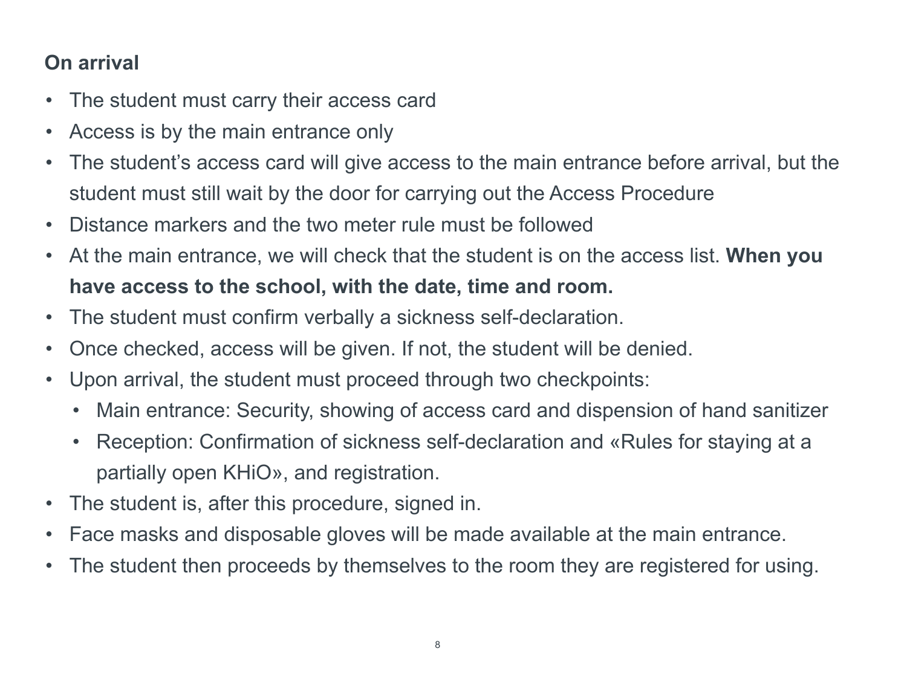## **On arrival**

- The student must carry their access card
- Access is by the main entrance only
- The student's access card will give access to the main entrance before arrival, but the student must still wait by the door for carrying out the Access Procedure
- Distance markers and the two meter rule must be followed
- At the main entrance, we will check that the student is on the access list. **When you have access to the school, with the date, time and room.**
- The student must confirm verbally a sickness self-declaration.
- Once checked, access will be given. If not, the student will be denied.
- Upon arrival, the student must proceed through two checkpoints:
	- Main entrance: Security, showing of access card and dispension of hand sanitizer
	- Reception: Confirmation of sickness self-declaration and «Rules for staying at a partially open KHiO», and registration.
- The student is, after this procedure, signed in.
- Face masks and disposable gloves will be made available at the main entrance.
- The student then proceeds by themselves to the room they are registered for using.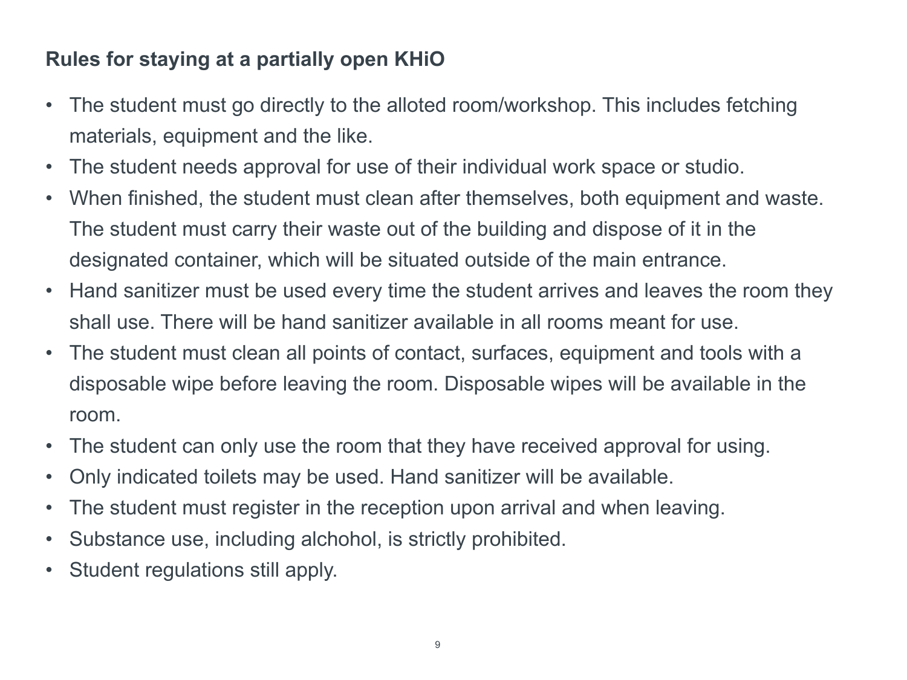### **Rules for staying at a partially open KHiO**

- The student must go directly to the alloted room/workshop. This includes fetching materials, equipment and the like.
- The student needs approval for use of their individual work space or studio.
- When finished, the student must clean after themselves, both equipment and waste. The student must carry their waste out of the building and dispose of it in the designated container, which will be situated outside of the main entrance.
- Hand sanitizer must be used every time the student arrives and leaves the room they shall use. There will be hand sanitizer available in all rooms meant for use.
- The student must clean all points of contact, surfaces, equipment and tools with a disposable wipe before leaving the room. Disposable wipes will be available in the room.
- The student can only use the room that they have received approval for using.
- Only indicated toilets may be used. Hand sanitizer will be available.
- The student must register in the reception upon arrival and when leaving.
- Substance use, including alchohol, is strictly prohibited.
- Student regulations still apply.